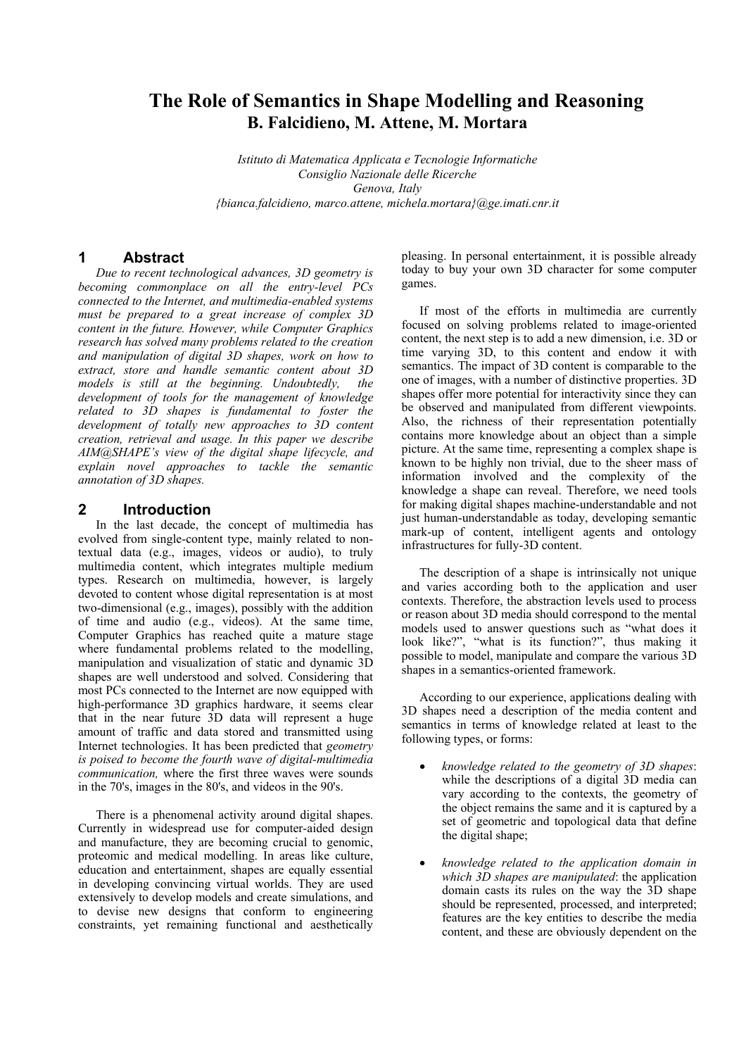# **The Role of Semantics in Shape Modelling and Reasoning B. Falcidieno, M. Attene, M. Mortara**

*Istituto di Matematica Applicata e Tecnologie Informatiche Consiglio Nazionale delle Ricerche Genova, Italy {bianca.falcidieno, marco.attene, michela.mortara}@ge.imati.cnr.it*

## **1 Abstract**

*Due to recent technological advances, 3D geometry is becoming commonplace on all the entry-level PCs connected to the Internet, and multimedia-enabled systems must be prepared to a great increase of complex 3D content in the future. However, while Computer Graphics research has solved many problems related to the creation and manipulation of digital 3D shapes, work on how to extract, store and handle semantic content about 3D models is still at the beginning. Undoubtedly, the development of tools for the management of knowledge related to 3D shapes is fundamental to foster the development of totally new approaches to 3D content creation, retrieval and usage. In this paper we describe AIM@SHAPE's view of the digital shape lifecycle, and explain novel approaches to tackle the semantic annotation of 3D shapes.* 

#### **2 Introduction**

In the last decade, the concept of multimedia has evolved from single-content type, mainly related to nontextual data (e.g., images, videos or audio), to truly multimedia content, which integrates multiple medium types. Research on multimedia, however, is largely devoted to content whose digital representation is at most two-dimensional (e.g., images), possibly with the addition of time and audio (e.g., videos). At the same time, Computer Graphics has reached quite a mature stage where fundamental problems related to the modelling, manipulation and visualization of static and dynamic 3D shapes are well understood and solved. Considering that most PCs connected to the Internet are now equipped with high-performance 3D graphics hardware, it seems clear that in the near future 3D data will represent a huge amount of traffic and data stored and transmitted using Internet technologies. It has been predicted that *geometry is poised to become the fourth wave of digital-multimedia communication,* where the first three waves were sounds in the 70's, images in the 80's, and videos in the 90's.

There is a phenomenal activity around digital shapes. Currently in widespread use for computer-aided design and manufacture, they are becoming crucial to genomic, proteomic and medical modelling. In areas like culture, education and entertainment, shapes are equally essential in developing convincing virtual worlds. They are used extensively to develop models and create simulations, and to devise new designs that conform to engineering constraints, yet remaining functional and aesthetically

pleasing. In personal entertainment, it is possible already today to buy your own 3D character for some computer games.

If most of the efforts in multimedia are currently focused on solving problems related to image-oriented content, the next step is to add a new dimension, i.e. 3D or time varying 3D, to this content and endow it with semantics. The impact of 3D content is comparable to the one of images, with a number of distinctive properties. 3D shapes offer more potential for interactivity since they can be observed and manipulated from different viewpoints. Also, the richness of their representation potentially contains more knowledge about an object than a simple picture. At the same time, representing a complex shape is known to be highly non trivial, due to the sheer mass of information involved and the complexity of the knowledge a shape can reveal. Therefore, we need tools for making digital shapes machine-understandable and not just human-understandable as today, developing semantic mark-up of content, intelligent agents and ontology infrastructures for fully-3D content.

The description of a shape is intrinsically not unique and varies according both to the application and user contexts. Therefore, the abstraction levels used to process or reason about 3D media should correspond to the mental models used to answer questions such as "what does it look like?", "what is its function?", thus making it possible to model, manipulate and compare the various 3D shapes in a semantics-oriented framework.

According to our experience, applications dealing with 3D shapes need a description of the media content and semantics in terms of knowledge related at least to the following types, or forms:

- *knowledge related to the geometry of 3D shapes*: while the descriptions of a digital 3D media can vary according to the contexts, the geometry of the object remains the same and it is captured by a set of geometric and topological data that define the digital shape;
- *knowledge related to the application domain in which 3D shapes are manipulated*: the application domain casts its rules on the way the 3D shape should be represented, processed, and interpreted; features are the key entities to describe the media content, and these are obviously dependent on the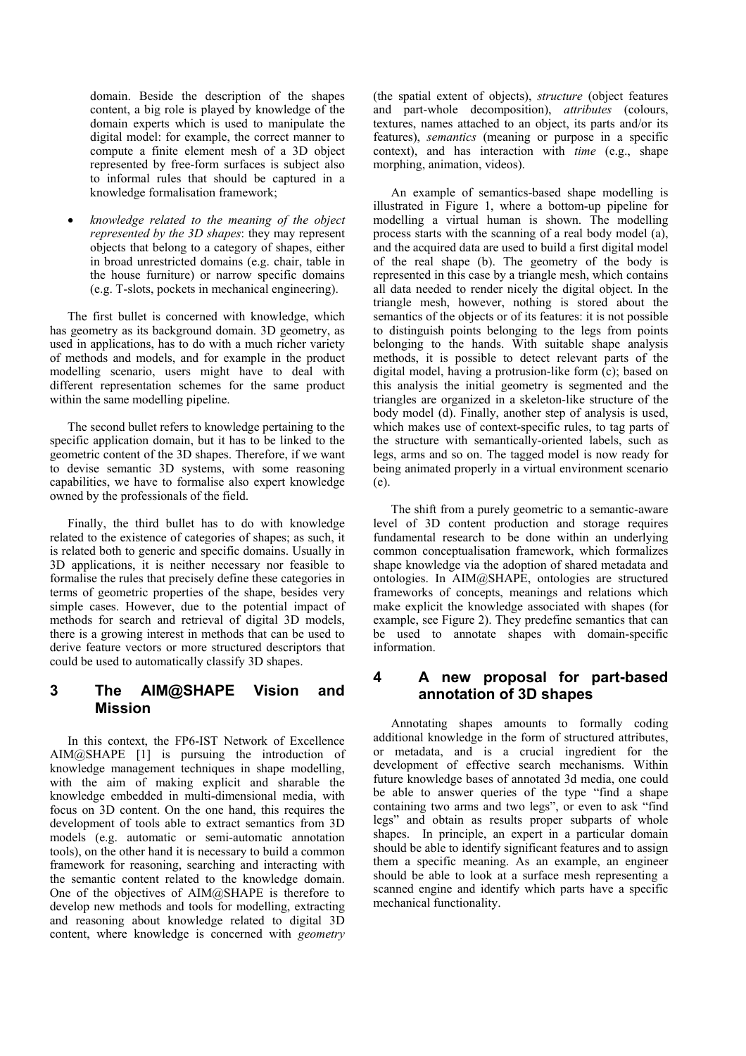domain. Beside the description of the shapes content, a big role is played by knowledge of the domain experts which is used to manipulate the digital model: for example, the correct manner to compute a finite element mesh of a 3D object represented by free-form surfaces is subject also to informal rules that should be captured in a knowledge formalisation framework;

• *knowledge related to the meaning of the object represented by the 3D shapes*: they may represent objects that belong to a category of shapes, either in broad unrestricted domains (e.g. chair, table in the house furniture) or narrow specific domains (e.g. T-slots, pockets in mechanical engineering).

The first bullet is concerned with knowledge, which has geometry as its background domain. 3D geometry, as used in applications, has to do with a much richer variety of methods and models, and for example in the product modelling scenario, users might have to deal with different representation schemes for the same product within the same modelling pipeline.

The second bullet refers to knowledge pertaining to the specific application domain, but it has to be linked to the geometric content of the 3D shapes. Therefore, if we want to devise semantic 3D systems, with some reasoning capabilities, we have to formalise also expert knowledge owned by the professionals of the field.

Finally, the third bullet has to do with knowledge related to the existence of categories of shapes; as such, it is related both to generic and specific domains. Usually in 3D applications, it is neither necessary nor feasible to formalise the rules that precisely define these categories in terms of geometric properties of the shape, besides very simple cases. However, due to the potential impact of methods for search and retrieval of digital 3D models, there is a growing interest in methods that can be used to derive feature vectors or more structured descriptors that could be used to automatically classify 3D shapes.

# **3 The AIM@SHAPE Vision and Mission**

In this context, the FP6-IST Network of Excellence AIM@SHAPE [1] is pursuing the introduction of knowledge management techniques in shape modelling, with the aim of making explicit and sharable the knowledge embedded in multi-dimensional media, with focus on 3D content. On the one hand, this requires the development of tools able to extract semantics from 3D models (e.g. automatic or semi-automatic annotation tools), on the other hand it is necessary to build a common framework for reasoning, searching and interacting with the semantic content related to the knowledge domain. One of the objectives of AIM@SHAPE is therefore to develop new methods and tools for modelling, extracting and reasoning about knowledge related to digital 3D content, where knowledge is concerned with *geometry*

(the spatial extent of objects), *structure* (object features and part-whole decomposition), *attributes* (colours, textures, names attached to an object, its parts and/or its features), *semantics* (meaning or purpose in a specific context), and has interaction with *time* (e.g., shape morphing, animation, videos).

An example of semantics-based shape modelling is illustrated in Figure 1, where a bottom-up pipeline for modelling a virtual human is shown. The modelling process starts with the scanning of a real body model (a), and the acquired data are used to build a first digital model of the real shape (b). The geometry of the body is represented in this case by a triangle mesh, which contains all data needed to render nicely the digital object. In the triangle mesh, however, nothing is stored about the semantics of the objects or of its features: it is not possible to distinguish points belonging to the legs from points belonging to the hands. With suitable shape analysis methods, it is possible to detect relevant parts of the digital model, having a protrusion-like form (c); based on this analysis the initial geometry is segmented and the triangles are organized in a skeleton-like structure of the body model (d). Finally, another step of analysis is used, which makes use of context-specific rules, to tag parts of the structure with semantically-oriented labels, such as legs, arms and so on. The tagged model is now ready for being animated properly in a virtual environment scenario (e).

The shift from a purely geometric to a semantic-aware level of 3D content production and storage requires fundamental research to be done within an underlying common conceptualisation framework, which formalizes shape knowledge via the adoption of shared metadata and ontologies. In AIM@SHAPE, ontologies are structured frameworks of concepts, meanings and relations which make explicit the knowledge associated with shapes (for example, see Figure 2). They predefine semantics that can be used to annotate shapes with domain-specific information.

#### **4 A new proposal for part-based annotation of 3D shapes**

Annotating shapes amounts to formally coding additional knowledge in the form of structured attributes, or metadata, and is a crucial ingredient for the development of effective search mechanisms. Within future knowledge bases of annotated 3d media, one could be able to answer queries of the type "find a shape containing two arms and two legs", or even to ask "find legs" and obtain as results proper subparts of whole shapes. In principle, an expert in a particular domain should be able to identify significant features and to assign them a specific meaning. As an example, an engineer should be able to look at a surface mesh representing a scanned engine and identify which parts have a specific mechanical functionality.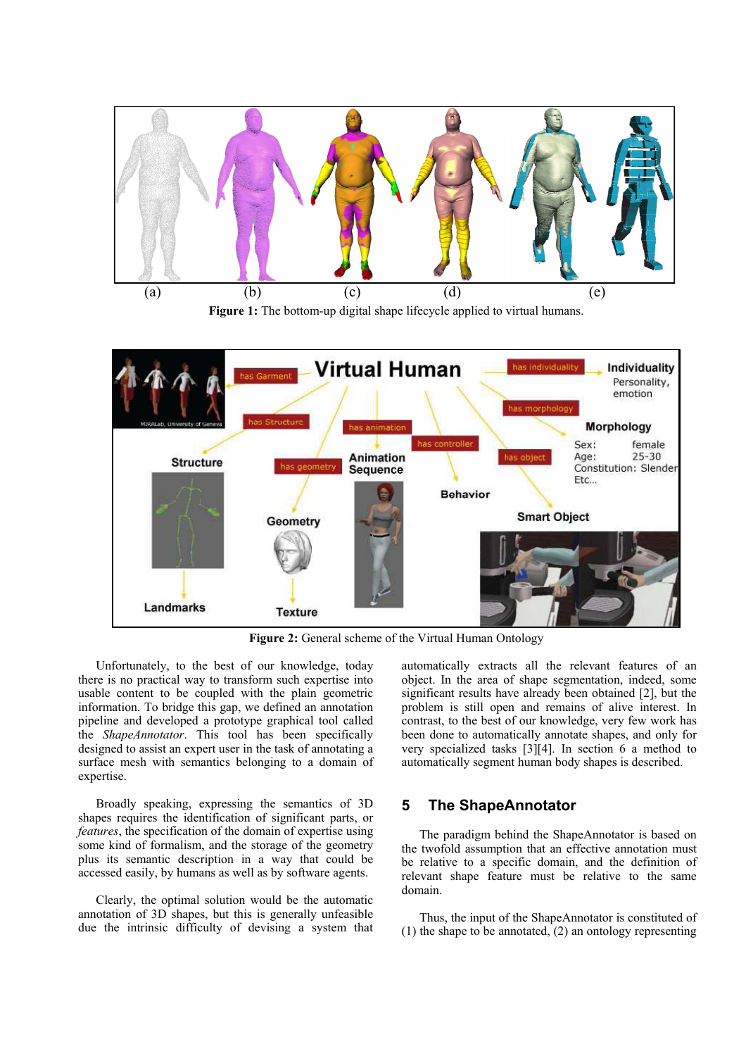

Figure 1: The bottom-up digital shape lifecycle applied to virtual humans.



Figure 2: General scheme of the Virtual Human Ontology

Unfortunately, to the best of our knowledge, today there is no practical way to transform such expertise into usable content to be coupled with the plain geometric information. To bridge this gap, we defined an annotation pipeline and developed a prototype graphical tool called the *ShapeAnnotator*. This tool has been specifically designed to assist an expert user in the task of annotating a surface mesh with semantics belonging to a domain of expertise.

Broadly speaking, expressing the semantics of 3D shapes requires the identification of significant parts, or *features*, the specification of the domain of expertise using some kind of formalism, and the storage of the geometry plus its semantic description in a way that could be accessed easily, by humans as well as by software agents.

Clearly, the optimal solution would be the automatic annotation of 3D shapes, but this is generally unfeasible due the intrinsic difficulty of devising a system that automatically extracts all the relevant features of an object. In the area of shape segmentation, indeed, some significant results have already been obtained [2], but the problem is still open and remains of alive interest. In contrast, to the best of our knowledge, very few work has been done to automatically annotate shapes, and only for very specialized tasks [3][4]. In section 6 a method to automatically segment human body shapes is described.

#### **5 The ShapeAnnotator**

The paradigm behind the ShapeAnnotator is based on the twofold assumption that an effective annotation must be relative to a specific domain, and the definition of relevant shape feature must be relative to the same domain.

Thus, the input of the ShapeAnnotator is constituted of (1) the shape to be annotated, (2) an ontology representing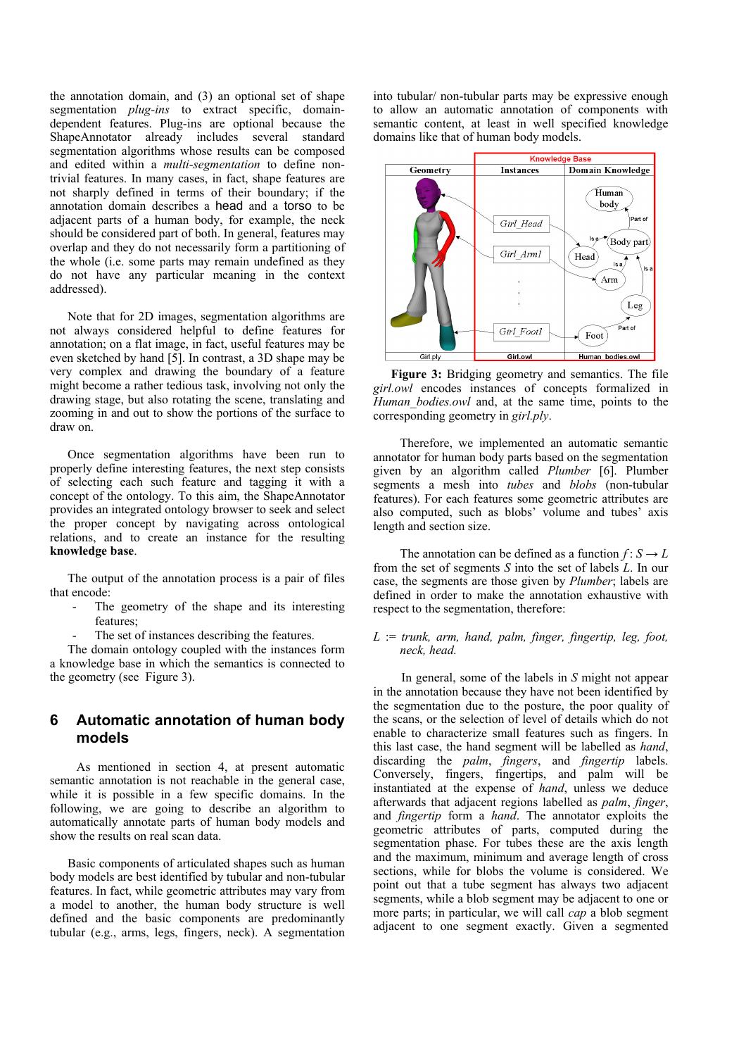the annotation domain, and (3) an optional set of shape segmentation *plug-ins* to extract specific, domaindependent features. Plug-ins are optional because the ShapeAnnotator already includes several standard segmentation algorithms whose results can be composed and edited within a *multi-segmentation* to define nontrivial features. In many cases, in fact, shape features are not sharply defined in terms of their boundary; if the annotation domain describes a head and a torso to be adjacent parts of a human body, for example, the neck should be considered part of both. In general, features may overlap and they do not necessarily form a partitioning of the whole (i.e. some parts may remain undefined as they do not have any particular meaning in the context addressed).

Note that for 2D images, segmentation algorithms are not always considered helpful to define features for annotation; on a flat image, in fact, useful features may be even sketched by hand [5]. In contrast, a 3D shape may be very complex and drawing the boundary of a feature might become a rather tedious task, involving not only the drawing stage, but also rotating the scene, translating and zooming in and out to show the portions of the surface to draw on.

Once segmentation algorithms have been run to properly define interesting features, the next step consists of selecting each such feature and tagging it with a concept of the ontology. To this aim, the ShapeAnnotator provides an integrated ontology browser to seek and select the proper concept by navigating across ontological relations, and to create an instance for the resulting **knowledge base**.

The output of the annotation process is a pair of files that encode:

- The geometry of the shape and its interesting features;
- The set of instances describing the features.

The domain ontology coupled with the instances form a knowledge base in which the semantics is connected to the geometry (see Figure 3).

#### **6 Automatic annotation of human body models**

As mentioned in section 4, at present automatic semantic annotation is not reachable in the general case, while it is possible in a few specific domains. In the following, we are going to describe an algorithm to automatically annotate parts of human body models and show the results on real scan data.

Basic components of articulated shapes such as human body models are best identified by tubular and non-tubular features. In fact, while geometric attributes may vary from a model to another, the human body structure is well defined and the basic components are predominantly tubular (e.g., arms, legs, fingers, neck). A segmentation into tubular/ non-tubular parts may be expressive enough to allow an automatic annotation of components with semantic content, at least in well specified knowledge domains like that of human body models.



**Figure 3:** Bridging geometry and semantics. The file *girl.owl* encodes instances of concepts formalized in *Human\_bodies.owl* and, at the same time, points to the corresponding geometry in *girl.ply*.

Therefore, we implemented an automatic semantic annotator for human body parts based on the segmentation given by an algorithm called *Plumber* [6]. Plumber segments a mesh into *tubes* and *blobs* (non-tubular features). For each features some geometric attributes are also computed, such as blobs' volume and tubes' axis length and section size.

The annotation can be defined as a function  $f: S \to L$ from the set of segments *S* into the set of labels *L*. In our case, the segments are those given by *Plumber*; labels are defined in order to make the annotation exhaustive with respect to the segmentation, therefore:

#### *L* := *trunk, arm, hand, palm, finger, fingertip, leg, foot, neck, head.*

 In general, some of the labels in *S* might not appear in the annotation because they have not been identified by the segmentation due to the posture, the poor quality of the scans, or the selection of level of details which do not enable to characterize small features such as fingers. In this last case, the hand segment will be labelled as *hand*, discarding the *palm*, *fingers*, and *fingertip* labels. Conversely, fingers, fingertips, and palm will be instantiated at the expense of *hand*, unless we deduce afterwards that adjacent regions labelled as *palm*, *finger*, and *fingertip* form a *hand*. The annotator exploits the geometric attributes of parts, computed during the segmentation phase. For tubes these are the axis length and the maximum, minimum and average length of cross sections, while for blobs the volume is considered. We point out that a tube segment has always two adjacent segments, while a blob segment may be adjacent to one or more parts; in particular, we will call *cap* a blob segment adjacent to one segment exactly. Given a segmented